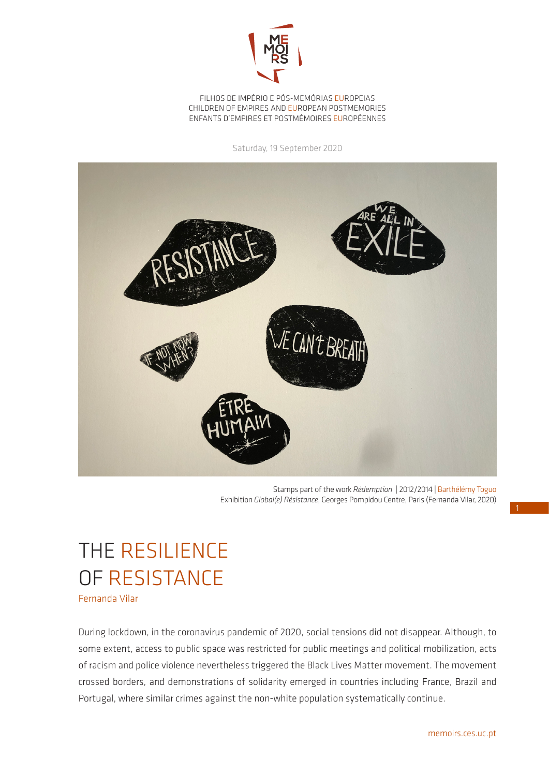

FILHOS DE IMPÉRIO E PÓS-MEMÓRIAS EUROPEIAS CHILDREN OF EMPIRES AND EUROPEAN POSTMEMORIES ENFANTS D'EMPIRES ET POSTMÉMOIRES EUROPÉENNES

Saturday, 19 September 2020



Stamps part of the work *Rédemption* | 2012/2014 | Barthélémy Toguo Exhibition *Global(e) Résistance*, Georges Pompidou Centre, Paris (Fernanda Vilar, 2020)

## THE RESILIENCE OF RESISTANCE

Fernanda Vilar

During lockdown, in the coronavirus pandemic of 2020, social tensions did not disappear. Although, to some extent, access to public space was restricted for public meetings and political mobilization, acts of racism and police violence nevertheless triggered the Black Lives Matter movement. The movement crossed borders, and demonstrations of solidarity emerged in countries including France, Brazil and Portugal, where similar crimes against the non-white population systematically continue.

1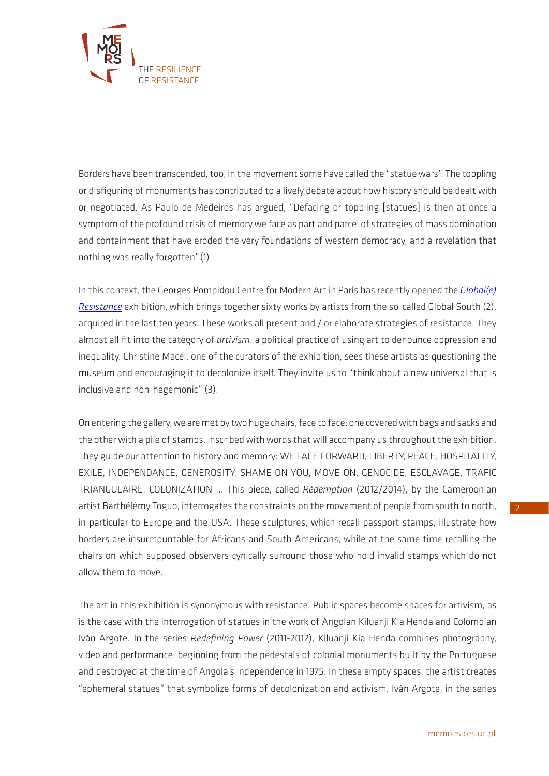

Borders have been transcended, too, in the movement some have called the "statue wars". The toppling or disfiguring of monuments has contributed to a lively debate about how history should be dealt with or negotiated. As Paulo de Medeiros has argued, "Defacing or toppling [statues] is then at once a symptom of the profound crisis of memory we face as part and parcel of strategies of mass domination and containment that have eroded the very foundations of western democracy, and a revelation that nothing was really forgotten".(1)

In this context, the Georges Pompidou Centre for Modern Art in Paris has recently opened the *[Global\(e\)](https://www.centrepompidou.fr/cpv/agenda/event.action?param.id=FR_R-fe46d1a3df9ce4b6ad849cd7721fb87¶m.idSource=FR_E-fe46d1a3df9ce4b6ad849cd7721fb87)  [Resistance](https://www.centrepompidou.fr/cpv/agenda/event.action?param.id=FR_R-fe46d1a3df9ce4b6ad849cd7721fb87¶m.idSource=FR_E-fe46d1a3df9ce4b6ad849cd7721fb87)* exhibition, which brings together sixty works by artists from the so-called Global South (2), acquired in the last ten years. These works all present and / or elaborate strategies of resistance. They almost all fit into the category of *artivism*, a political practice of using art to denounce oppression and inequality. Christine Macel, one of the curators of the exhibition, sees these artists as questioning the museum and encouraging it to decolonize itself. They invite us to "think about a new universal that is inclusive and non-hegemonic" (3).

On entering the gallery, we are met by two huge chairs, face to face: one covered with bags and sacks and the other with a pile of stamps, inscribed with words that will accompany us throughout the exhibition. They guide our attention to history and memory: WE FACE FORWARD, LIBERTY, PEACE, HOSPITALITY, EXILE, INDEPENDANCE, GENEROSITY, SHAME ON YOU, MOVE ON, GENOCIDE, ESCLAVAGE, TRAFIC TRIANGULAIRE, COLONIZATION ... This piece, called *Rédemption* (2012/2014), by the Cameroonian artist Barthélémy Toguo, interrogates the constraints on the movement of people from south to north, in particular to Europe and the USA. These sculptures, which recall passport stamps, illustrate how borders are insurmountable for Africans and South Americans, while at the same time recalling the chairs on which supposed observers cynically surround those who hold invalid stamps which do not allow them to move.

The art in this exhibition is synonymous with resistance. Public spaces become spaces for artivism, as is the case with the interrogation of statues in the work of Angolan Kiluanji Kia Henda and Colombian Iván Argote. In the series *Redefining Power* (2011-2012), Kiluanji Kia Henda combines photography, video and performance, beginning from the pedestals of colonial monuments built by the Portuguese and destroyed at the time of Angola's independence in 1975. In these empty spaces, the artist creates "ephemeral statues" that symbolize forms of decolonization and activism. Iván Argote, in the series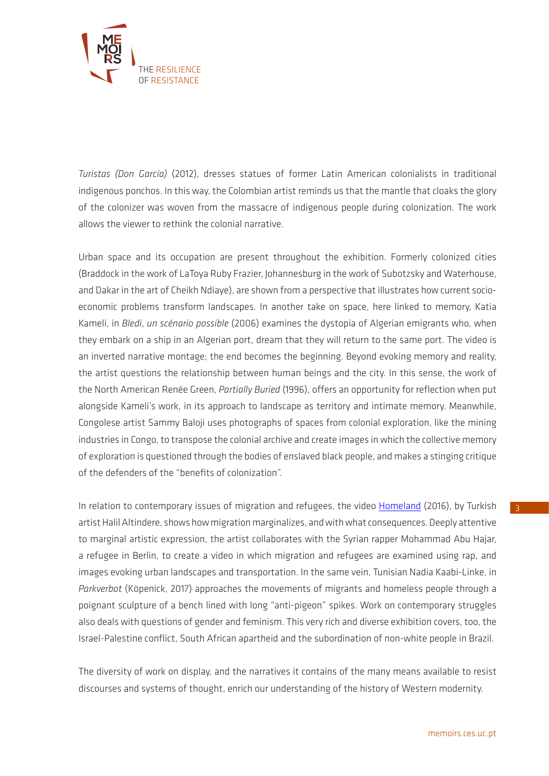

*Turistas (Don García)* (2012), dresses statues of former Latin American colonialists in traditional indigenous ponchos. In this way, the Colombian artist reminds us that the mantle that cloaks the glory of the colonizer was woven from the massacre of indigenous people during colonization. The work allows the viewer to rethink the colonial narrative.

Urban space and its occupation are present throughout the exhibition. Formerly colonized cities (Braddock in the work of LaToya Ruby Frazier, Johannesburg in the work of Subotzsky and Waterhouse, and Dakar in the art of Cheikh Ndiaye), are shown from a perspective that illustrates how current socioeconomic problems transform landscapes. In another take on space, here linked to memory, Katia Kameli, in *Bledi*, *un scénario possible* (2006) examines the dystopia of Algerian emigrants who, when they embark on a ship in an Algerian port, dream that they will return to the same port. The video is an inverted narrative montage; the end becomes the beginning. Beyond evoking memory and reality, the artist questions the relationship between human beings and the city. In this sense, the work of the North American Renée Green, *Partially Buried* (1996), offers an opportunity for reflection when put alongside Kameli's work, in its approach to landscape as territory and intimate memory. Meanwhile, Congolese artist Sammy Baloji uses photographs of spaces from colonial exploration, like the mining industries in Congo, to transpose the colonial archive and create images in which the collective memory of exploration is questioned through the bodies of enslaved black people, and makes a stinging critique of the defenders of the "benefits of colonization".

In relation to contemporary issues of migration and refugees, the video [Homeland](https://vimeo.com/78545350) (2016), by Turkish artist Halil Altindere, shows how migration marginalizes, and with what consequences. Deeply attentive to marginal artistic expression, the artist collaborates with the Syrian rapper Mohammad Abu Hajar, a refugee in Berlin, to create a video in which migration and refugees are examined using rap, and images evoking urban landscapes and transportation. In the same vein, Tunisian Nadia Kaabi-Linke, in *Parkverbot* (Köpenick, 2017) approaches the movements of migrants and homeless people through a poignant sculpture of a bench lined with long "anti-pigeon" spikes. Work on contemporary struggles also deals with questions of gender and feminism. This very rich and diverse exhibition covers, too, the Israel-Palestine conflict, South African apartheid and the subordination of non-white people in Brazil.

The diversity of work on display, and the narratives it contains of the many means available to resist discourses and systems of thought, enrich our understanding of the history of Western modernity.